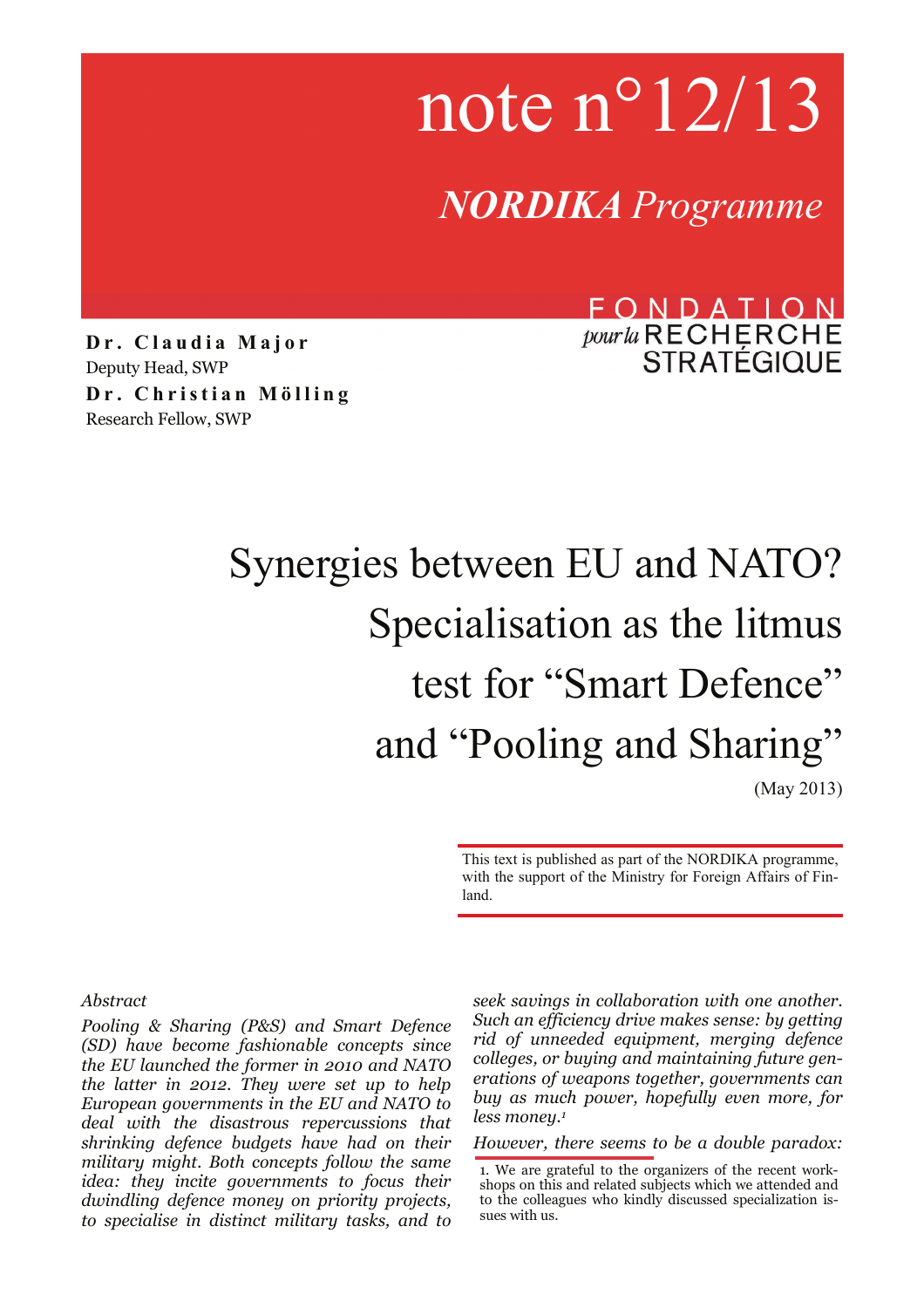note n°12/13

*NORDIKA Programme*

**Dr. Claudia Major**  Deputy Head, SWP **Dr. Christian Mölling**  Research Fellow, SWP

# FONDATION pour la RECHERCHE<br>STRATÉGIQUE

# Synergies between EU and NATO? Specialisation as the litmus test for "Smart Defence" and "Pooling and Sharing" (May 2013)

This text is published as part of the NORDIKA programme, with the support of the Ministry for Foreign Affairs of Finland.

#### *Abstract*

*Pooling & Sharing (P&S) and Smart Defence (SD) have become fashionable concepts since the EU launched the former in 2010 and NATO the latter in 2012. They were set up to help European governments in the EU and NATO to deal with the disastrous repercussions that shrinking defence budgets have had on their military might. Both concepts follow the same idea: they incite governments to focus their dwindling defence money on priority projects, to specialise in distinct military tasks, and to*  *seek savings in collaboration with one another. Such an efficiency drive makes sense: by getting rid of unneeded equipment, merging defence colleges, or buying and maintaining future generations of weapons together, governments can buy as much power, hopefully even more, for less money.1*

*However, there seems to be a double paradox:* 

<sup>1.</sup> We are grateful to the organizers of the recent workshops on this and related subjects which we attended and to the colleagues who kindly discussed specialization issues with us.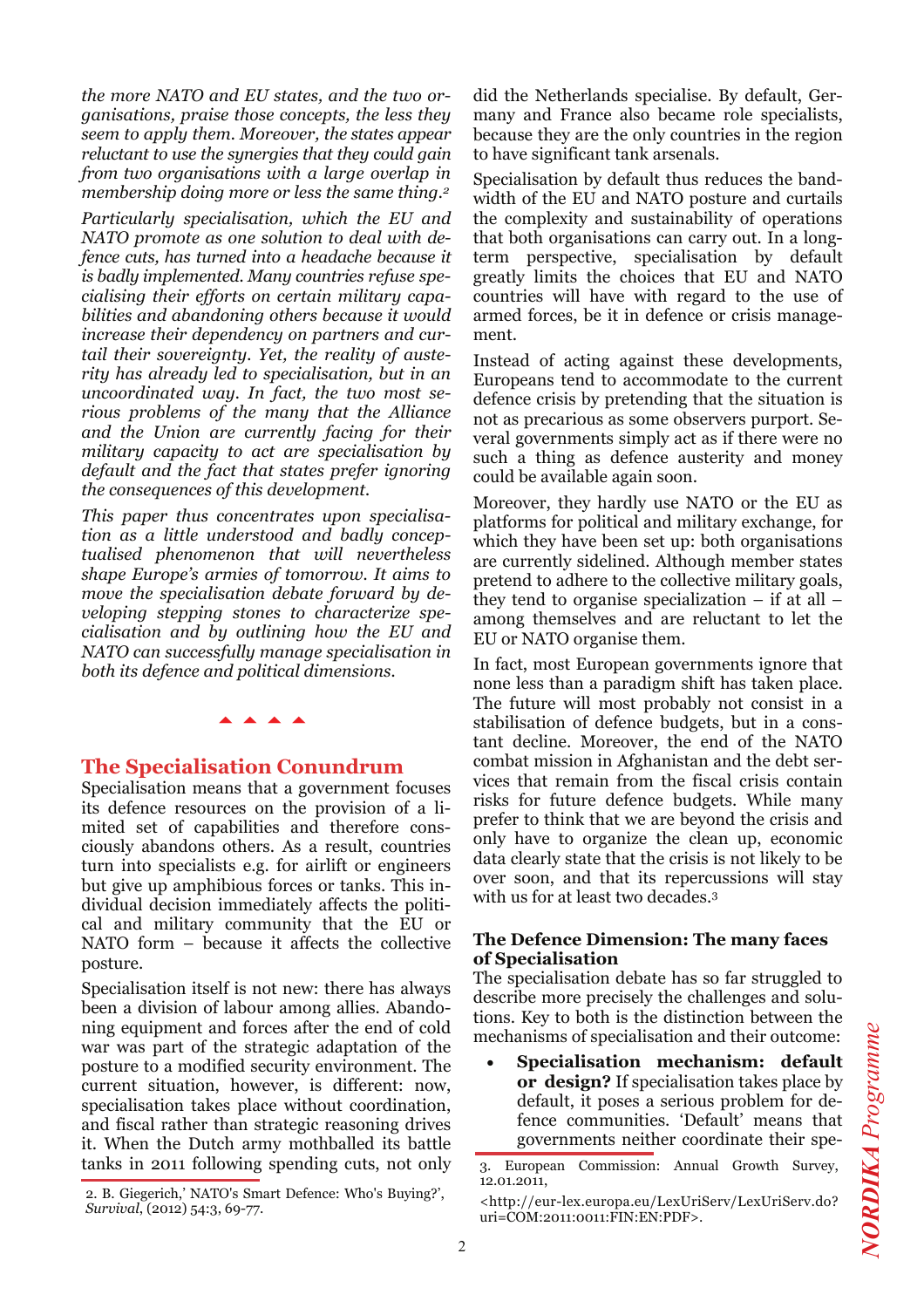*the more NATO and EU states, and the two organisations, praise those concepts, the less they seem to apply them. Moreover, the states appear reluctant to use the synergies that they could gain from two organisations with a large overlap in membership doing more or less the same thing.2*

*Particularly specialisation, which the EU and NATO promote as one solution to deal with defence cuts, has turned into a headache because it is badly implemented. Many countries refuse specialising their efforts on certain military capabilities and abandoning others because it would increase their dependency on partners and curtail their sovereignty. Yet, the reality of austerity has already led to specialisation, but in an uncoordinated way. In fact, the two most serious problems of the many that the Alliance and the Union are currently facing for their military capacity to act are specialisation by default and the fact that states prefer ignoring the consequences of this development.* 

*This paper thus concentrates upon specialisation as a little understood and badly conceptualised phenomenon that will nevertheless shape Europe's armies of tomorrow. It aims to move the specialisation debate forward by developing stepping stones to characterize specialisation and by outlining how the EU and NATO can successfully manage specialisation in both its defence and political dimensions.* 

# **The Specialisation Conundrum**

aaaa

Specialisation means that a government focuses its defence resources on the provision of a limited set of capabilities and therefore consciously abandons others. As a result, countries turn into specialists e.g. for airlift or engineers but give up amphibious forces or tanks. This individual decision immediately affects the political and military community that the EU or NATO form – because it affects the collective posture.

Specialisation itself is not new: there has always been a division of labour among allies. Abandoning equipment and forces after the end of cold war was part of the strategic adaptation of the posture to a modified security environment. The current situation, however, is different: now, specialisation takes place without coordination, and fiscal rather than strategic reasoning drives it. When the Dutch army mothballed its battle tanks in 2011 following spending cuts, not only

2. B. Giegerich,' NATO's Smart Defence: Who's Buying?', *Survival*, (2012) 54:3, 69-77.

did the Netherlands specialise. By default, Germany and France also became role specialists, because they are the only countries in the region to have significant tank arsenals.

Specialisation by default thus reduces the bandwidth of the EU and NATO posture and curtails the complexity and sustainability of operations that both organisations can carry out. In a longterm perspective, specialisation by default greatly limits the choices that EU and NATO countries will have with regard to the use of armed forces, be it in defence or crisis management.

Instead of acting against these developments, Europeans tend to accommodate to the current defence crisis by pretending that the situation is not as precarious as some observers purport. Several governments simply act as if there were no such a thing as defence austerity and money could be available again soon.

Moreover, they hardly use NATO or the EU as platforms for political and military exchange, for which they have been set up: both organisations are currently sidelined. Although member states pretend to adhere to the collective military goals, they tend to organise specialization  $-$  if at all  $$ among themselves and are reluctant to let the EU or NATO organise them.

In fact, most European governments ignore that none less than a paradigm shift has taken place. The future will most probably not consist in a stabilisation of defence budgets, but in a constant decline. Moreover, the end of the NATO combat mission in Afghanistan and the debt services that remain from the fiscal crisis contain risks for future defence budgets. While many prefer to think that we are beyond the crisis and only have to organize the clean up, economic data clearly state that the crisis is not likely to be over soon, and that its repercussions will stay with us for at least two decades.<sup>3</sup>

#### **The Defence Dimension: The many faces of Specialisation**

The specialisation debate has so far struggled to describe more precisely the challenges and solutions. Key to both is the distinction between the mechanisms of specialisation and their outcome:

• **Specialisation mechanism: default or design?** If specialisation takes place by default, it poses a serious problem for defence communities. 'Default' means that governments neither coordinate their spe-

<sup>3.</sup> European Commission: Annual Growth Survey, 12.01.2011,

<sup>&</sup>lt;http://eur-lex.europa.eu/LexUriServ/LexUriServ.do? uri=COM:2011:0011:FIN:EN:PDF>.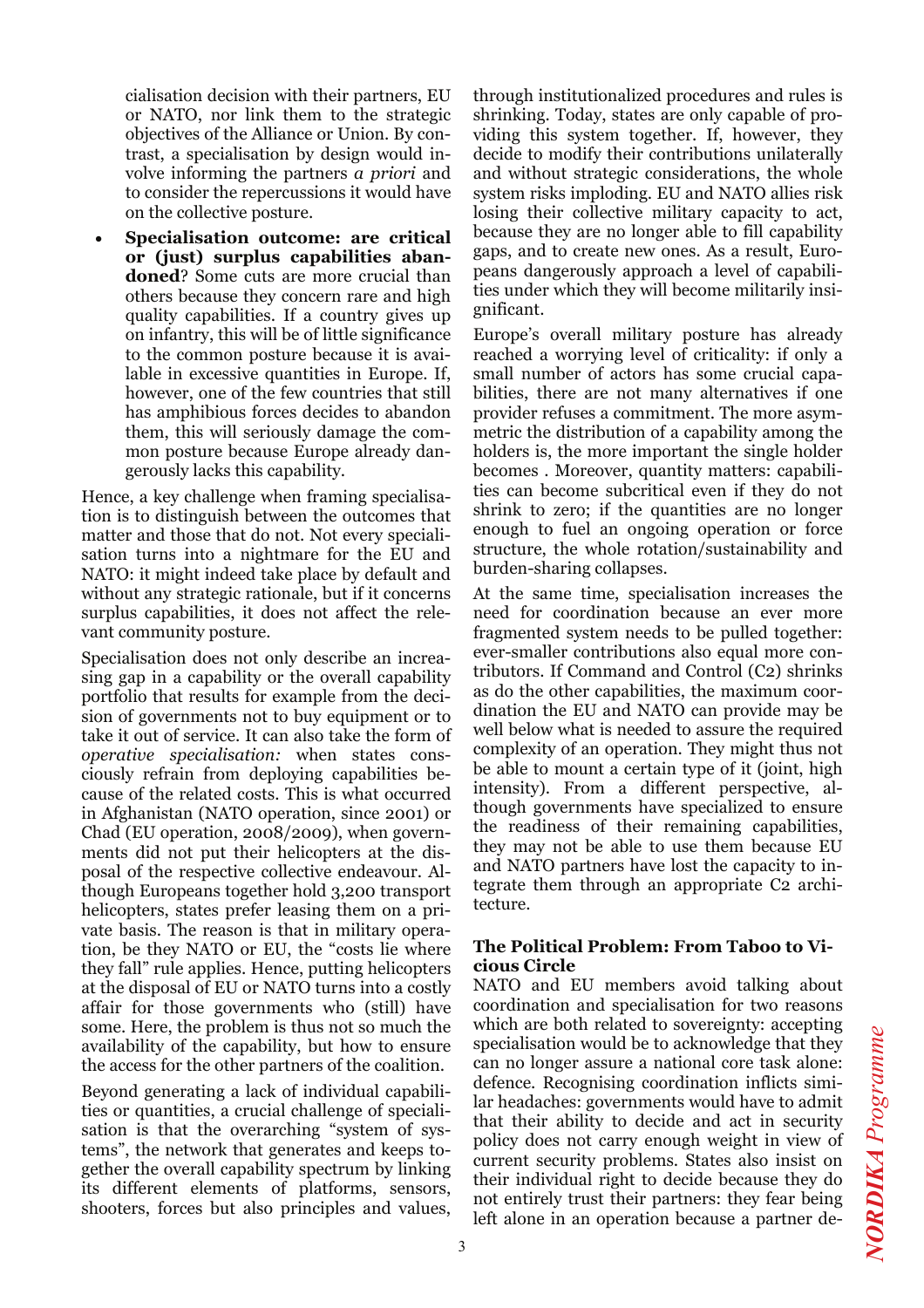cialisation decision with their partners, EU or NATO, nor link them to the strategic objectives of the Alliance or Union. By contrast, a specialisation by design would involve informing the partners *a priori* and to consider the repercussions it would have on the collective posture.

• **Specialisation outcome: are critical or (just) surplus capabilities abandoned**? Some cuts are more crucial than others because they concern rare and high quality capabilities. If a country gives up on infantry, this will be of little significance to the common posture because it is available in excessive quantities in Europe. If, however, one of the few countries that still has amphibious forces decides to abandon them, this will seriously damage the common posture because Europe already dangerously lacks this capability.

Hence, a key challenge when framing specialisation is to distinguish between the outcomes that matter and those that do not. Not every specialisation turns into a nightmare for the EU and NATO: it might indeed take place by default and without any strategic rationale, but if it concerns surplus capabilities, it does not affect the relevant community posture.

Specialisation does not only describe an increasing gap in a capability or the overall capability portfolio that results for example from the decision of governments not to buy equipment or to take it out of service. It can also take the form of *operative specialisation:* when states consciously refrain from deploying capabilities because of the related costs. This is what occurred in Afghanistan (NATO operation, since 2001) or Chad (EU operation, 2008/2009), when governments did not put their helicopters at the disposal of the respective collective endeavour. Although Europeans together hold 3,200 transport helicopters, states prefer leasing them on a private basis. The reason is that in military operation, be they NATO or EU, the "costs lie where they fall" rule applies. Hence, putting helicopters at the disposal of EU or NATO turns into a costly affair for those governments who (still) have some. Here, the problem is thus not so much the availability of the capability, but how to ensure the access for the other partners of the coalition.

Beyond generating a lack of individual capabilities or quantities, a crucial challenge of specialisation is that the overarching "system of systems", the network that generates and keeps together the overall capability spectrum by linking its different elements of platforms, sensors, shooters, forces but also principles and values, through institutionalized procedures and rules is shrinking. Today, states are only capable of providing this system together. If, however, they decide to modify their contributions unilaterally and without strategic considerations, the whole system risks imploding. EU and NATO allies risk losing their collective military capacity to act, because they are no longer able to fill capability gaps, and to create new ones. As a result, Europeans dangerously approach a level of capabilities under which they will become militarily insignificant.

Europe's overall military posture has already reached a worrying level of criticality: if only a small number of actors has some crucial capabilities, there are not many alternatives if one provider refuses a commitment. The more asymmetric the distribution of a capability among the holders is, the more important the single holder becomes . Moreover, quantity matters: capabilities can become subcritical even if they do not shrink to zero; if the quantities are no longer enough to fuel an ongoing operation or force structure, the whole rotation/sustainability and burden-sharing collapses.

At the same time, specialisation increases the need for coordination because an ever more fragmented system needs to be pulled together: ever-smaller contributions also equal more contributors. If Command and Control (C2) shrinks as do the other capabilities, the maximum coordination the EU and NATO can provide may be well below what is needed to assure the required complexity of an operation. They might thus not be able to mount a certain type of it (joint, high intensity). From a different perspective, although governments have specialized to ensure the readiness of their remaining capabilities, they may not be able to use them because EU and NATO partners have lost the capacity to integrate them through an appropriate C2 architecture.

#### **The Political Problem: From Taboo to Vicious Circle**

NATO and EU members avoid talking about coordination and specialisation for two reasons which are both related to sovereignty: accepting specialisation would be to acknowledge that they can no longer assure a national core task alone: defence. Recognising coordination inflicts similar headaches: governments would have to admit that their ability to decide and act in security policy does not carry enough weight in view of current security problems. States also insist on their individual right to decide because they do not entirely trust their partners: they fear being left alone in an operation because a partner de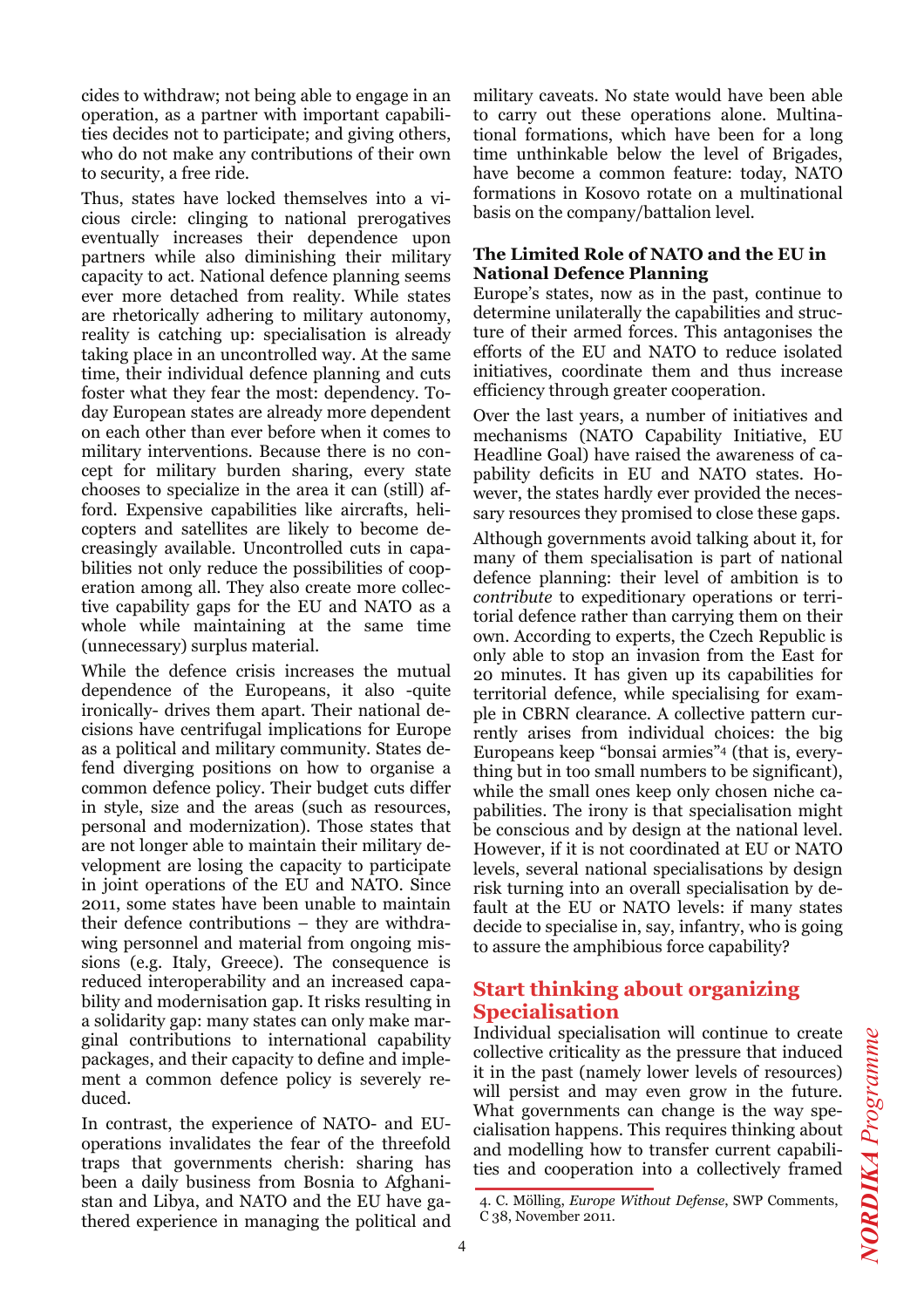cides to withdraw; not being able to engage in an operation, as a partner with important capabilities decides not to participate; and giving others, who do not make any contributions of their own to security, a free ride.

Thus, states have locked themselves into a vicious circle: clinging to national prerogatives eventually increases their dependence upon partners while also diminishing their military capacity to act. National defence planning seems ever more detached from reality. While states are rhetorically adhering to military autonomy, reality is catching up: specialisation is already taking place in an uncontrolled way. At the same time, their individual defence planning and cuts foster what they fear the most: dependency. Today European states are already more dependent on each other than ever before when it comes to military interventions. Because there is no concept for military burden sharing, every state chooses to specialize in the area it can (still) afford. Expensive capabilities like aircrafts, helicopters and satellites are likely to become decreasingly available. Uncontrolled cuts in capabilities not only reduce the possibilities of cooperation among all. They also create more collective capability gaps for the EU and NATO as a whole while maintaining at the same time (unnecessary) surplus material.

While the defence crisis increases the mutual dependence of the Europeans, it also -quite ironically- drives them apart. Their national decisions have centrifugal implications for Europe as a political and military community. States defend diverging positions on how to organise a common defence policy. Their budget cuts differ in style, size and the areas (such as resources, personal and modernization). Those states that are not longer able to maintain their military development are losing the capacity to participate in joint operations of the EU and NATO. Since 2011, some states have been unable to maintain their defence contributions – they are withdrawing personnel and material from ongoing missions (e.g. Italy, Greece). The consequence is reduced interoperability and an increased capability and modernisation gap. It risks resulting in a solidarity gap: many states can only make marginal contributions to international capability packages, and their capacity to define and implement a common defence policy is severely reduced.

In contrast, the experience of NATO- and EUoperations invalidates the fear of the threefold traps that governments cherish: sharing has been a daily business from Bosnia to Afghanistan and Libya, and NATO and the EU have gathered experience in managing the political and

military caveats. No state would have been able to carry out these operations alone. Multinational formations, which have been for a long time unthinkable below the level of Brigades, have become a common feature: today, NATO formations in Kosovo rotate on a multinational basis on the company/battalion level.

#### **The Limited Role of NATO and the EU in National Defence Planning**

Europe's states, now as in the past, continue to determine unilaterally the capabilities and structure of their armed forces. This antagonises the efforts of the EU and NATO to reduce isolated initiatives, coordinate them and thus increase efficiency through greater cooperation.

Over the last years, a number of initiatives and mechanisms (NATO Capability Initiative, EU Headline Goal) have raised the awareness of capability deficits in EU and NATO states. However, the states hardly ever provided the necessary resources they promised to close these gaps.

Although governments avoid talking about it, for many of them specialisation is part of national defence planning: their level of ambition is to *contribute* to expeditionary operations or territorial defence rather than carrying them on their own. According to experts, the Czech Republic is only able to stop an invasion from the East for 20 minutes. It has given up its capabilities for territorial defence, while specialising for example in CBRN clearance. A collective pattern currently arises from individual choices: the big Europeans keep "bonsai armies"4 (that is, everything but in too small numbers to be significant), while the small ones keep only chosen niche capabilities. The irony is that specialisation might be conscious and by design at the national level. However, if it is not coordinated at EU or NATO levels, several national specialisations by design risk turning into an overall specialisation by default at the EU or NATO levels: if many states decide to specialise in, say, infantry, who is going to assure the amphibious force capability?

# **Start thinking about organizing Specialisation**

Individual specialisation will continue to create collective criticality as the pressure that induced it in the past (namely lower levels of resources) will persist and may even grow in the future. What governments can change is the way specialisation happens. This requires thinking about and modelling how to transfer current capabilities and cooperation into a collectively framed

<sup>4.</sup> C. Mölling, *Europe Without Defense*, SWP Comments, C 38, November 2011.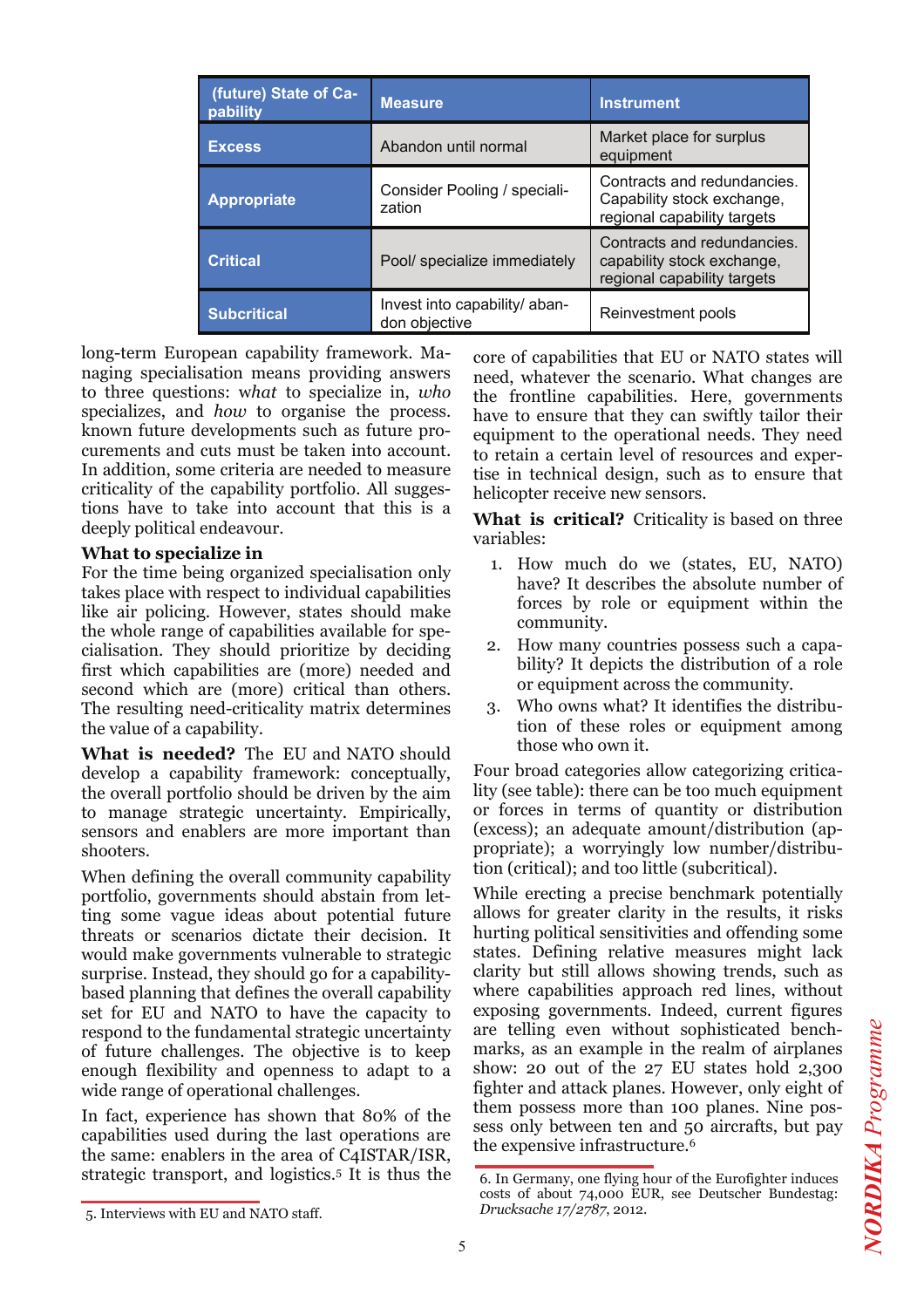| (future) State of Ca-<br>pability | <b>Measure</b>                                 | <b>Instrument</b>                                                                        |
|-----------------------------------|------------------------------------------------|------------------------------------------------------------------------------------------|
| <b>Excess</b>                     | Abandon until normal                           | Market place for surplus<br>equipment                                                    |
| <b>Appropriate</b>                | Consider Pooling / speciali-<br>zation         | Contracts and redundancies.<br>Capability stock exchange,<br>regional capability targets |
| <b>Critical</b>                   | Pool/ specialize immediately                   | Contracts and redundancies.<br>capability stock exchange,<br>regional capability targets |
| <b>Subcritical</b>                | Invest into capability/ aban-<br>don objective | Reinvestment pools                                                                       |

long-term European capability framework. Managing specialisation means providing answers to three questions: w*hat* to specialize in, *who* specializes, and *how* to organise the process. known future developments such as future procurements and cuts must be taken into account. In addition, some criteria are needed to measure criticality of the capability portfolio. All suggestions have to take into account that this is a deeply political endeavour.

#### **What to specialize in**

For the time being organized specialisation only takes place with respect to individual capabilities like air policing. However, states should make the whole range of capabilities available for specialisation. They should prioritize by deciding first which capabilities are (more) needed and second which are (more) critical than others. The resulting need-criticality matrix determines the value of a capability.

**What is needed?** The EU and NATO should develop a capability framework: conceptually, the overall portfolio should be driven by the aim to manage strategic uncertainty. Empirically, sensors and enablers are more important than shooters.

When defining the overall community capability portfolio, governments should abstain from letting some vague ideas about potential future threats or scenarios dictate their decision. It would make governments vulnerable to strategic surprise. Instead, they should go for a capabilitybased planning that defines the overall capability set for EU and NATO to have the capacity to respond to the fundamental strategic uncertainty of future challenges. The objective is to keep enough flexibility and openness to adapt to a wide range of operational challenges.

In fact, experience has shown that 80% of the capabilities used during the last operations are the same: enablers in the area of C4ISTAR/ISR, strategic transport, and logistics.5 It is thus the

core of capabilities that EU or NATO states will need, whatever the scenario. What changes are the frontline capabilities. Here, governments have to ensure that they can swiftly tailor their equipment to the operational needs. They need to retain a certain level of resources and expertise in technical design, such as to ensure that helicopter receive new sensors.

**What is critical?** Criticality is based on three variables:

- 1. How much do we (states, EU, NATO) have? It describes the absolute number of forces by role or equipment within the community.
- 2. How many countries possess such a capability? It depicts the distribution of a role or equipment across the community.
- 3. Who owns what? It identifies the distribution of these roles or equipment among those who own it.

Four broad categories allow categorizing criticality (see table): there can be too much equipment or forces in terms of quantity or distribution (excess); an adequate amount/distribution (appropriate); a worryingly low number/distribution (critical); and too little (subcritical).

While erecting a precise benchmark potentially allows for greater clarity in the results, it risks hurting political sensitivities and offending some states. Defining relative measures might lack clarity but still allows showing trends, such as where capabilities approach red lines, without exposing governments. Indeed, current figures are telling even without sophisticated benchmarks, as an example in the realm of airplanes show: 20 out of the 27 EU states hold 2,300 fighter and attack planes. However, only eight of them possess more than 100 planes. Nine possess only between ten and 50 aircrafts, but pay the expensive infrastructure.6

<sup>6.</sup> In Germany, one flying hour of the Eurofighter induces costs of about 74,000 EUR, see Deutscher Bundestag: *Drucksache 17/2787*, 2012.

**NORDIKA** Programme *NORDIKA Programme*

<sup>5.</sup> Interviews with EU and NATO staff.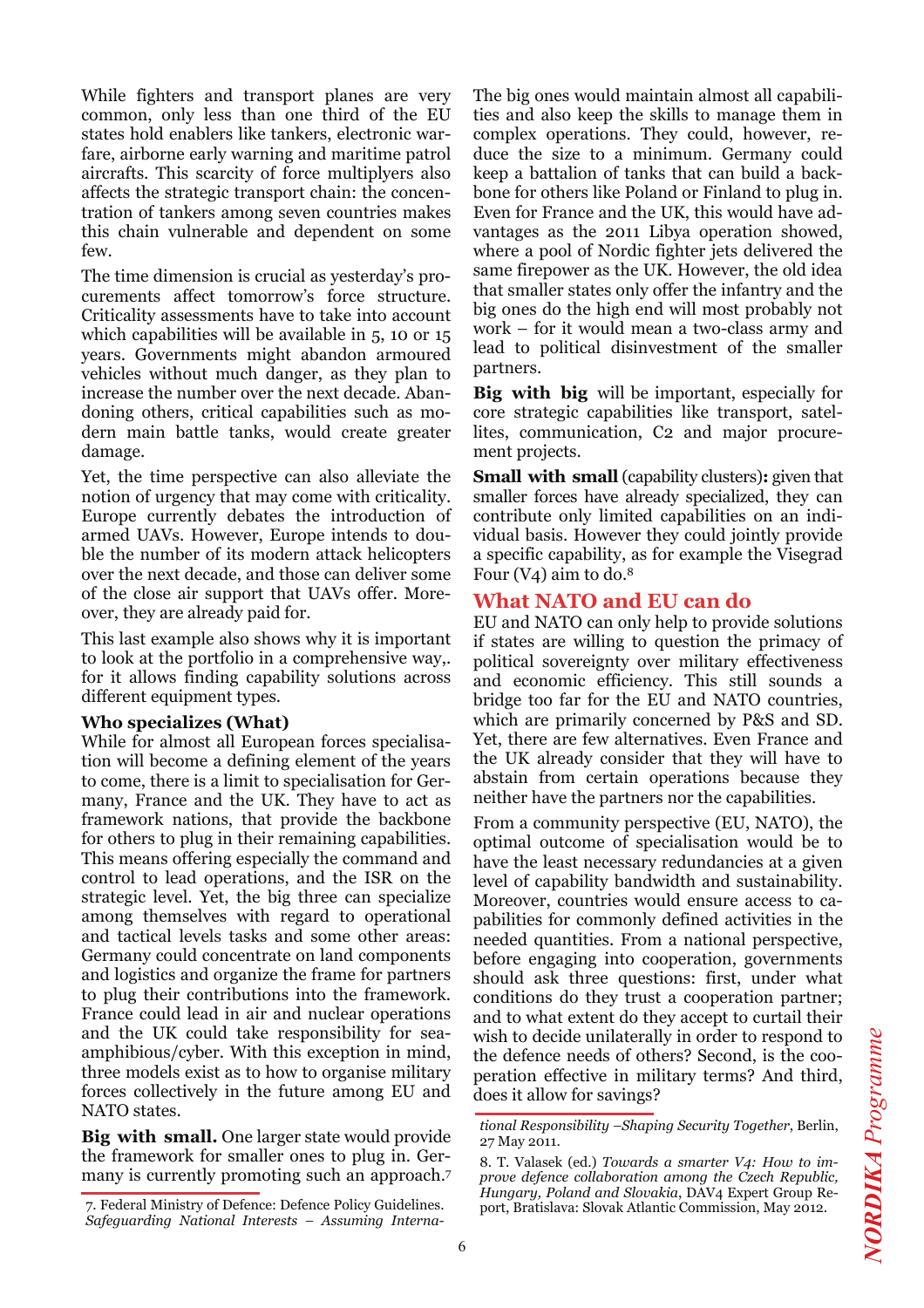While fighters and transport planes are very common, only less than one third of the EU states hold enablers like tankers, electronic warfare, airborne early warning and maritime patrol aircrafts. This scarcity of force multiplyers also affects the strategic transport chain: the concentration of tankers among seven countries makes this chain vulnerable and dependent on some few.

The time dimension is crucial as yesterday's procurements affect tomorrow's force structure. Criticality assessments have to take into account which capabilities will be available in 5, 10 or 15 years. Governments might abandon armoured vehicles without much danger, as they plan to increase the number over the next decade. Abandoning others, critical capabilities such as modern main battle tanks, would create greater damage.

Yet, the time perspective can also alleviate the notion of urgency that may come with criticality. Europe currently debates the introduction of armed UAVs. However, Europe intends to double the number of its modern attack helicopters over the next decade, and those can deliver some of the close air support that UAVs offer. Moreover, they are already paid for.

This last example also shows why it is important to look at the portfolio in a comprehensive way,. for it allows finding capability solutions across different equipment types.

### **Who specializes (What)**

While for almost all European forces specialisation will become a defining element of the years to come, there is a limit to specialisation for Germany, France and the UK. They have to act as framework nations, that provide the backbone for others to plug in their remaining capabilities. This means offering especially the command and control to lead operations, and the ISR on the strategic level. Yet, the big three can specialize among themselves with regard to operational and tactical levels tasks and some other areas: Germany could concentrate on land components and logistics and organize the frame for partners to plug their contributions into the framework. France could lead in air and nuclear operations and the UK could take responsibility for seaamphibious/cyber. With this exception in mind, three models exist as to how to organise military forces collectively in the future among EU and NATO states.

**Big with small.** One larger state would provide the framework for smaller ones to plug in. Germany is currently promoting such an approach.7 The big ones would maintain almost all capabilities and also keep the skills to manage them in complex operations. They could, however, reduce the size to a minimum. Germany could keep a battalion of tanks that can build a backbone for others like Poland or Finland to plug in. Even for France and the UK, this would have advantages as the 2011 Libya operation showed, where a pool of Nordic fighter jets delivered the same firepower as the UK. However, the old idea that smaller states only offer the infantry and the big ones do the high end will most probably not work – for it would mean a two-class army and lead to political disinvestment of the smaller partners.

**Big with big** will be important, especially for core strategic capabilities like transport, satellites, communication, C2 and major procurement projects.

**Small with small** (capability clusters)**:** given that smaller forces have already specialized, they can contribute only limited capabilities on an individual basis. However they could jointly provide a specific capability, as for example the Visegrad Four  $(V_4)$  aim to do.<sup>8</sup>

# **What NATO and EU can do**

EU and NATO can only help to provide solutions if states are willing to question the primacy of political sovereignty over military effectiveness and economic efficiency. This still sounds a bridge too far for the EU and NATO countries, which are primarily concerned by P&S and SD. Yet, there are few alternatives. Even France and the UK already consider that they will have to abstain from certain operations because they neither have the partners nor the capabilities.

From a community perspective (EU, NATO), the optimal outcome of specialisation would be to have the least necessary redundancies at a given level of capability bandwidth and sustainability. Moreover, countries would ensure access to capabilities for commonly defined activities in the needed quantities. From a national perspective, before engaging into cooperation, governments should ask three questions: first, under what conditions do they trust a cooperation partner; and to what extent do they accept to curtail their wish to decide unilaterally in order to respond to the defence needs of others? Second, is the cooperation effective in military terms? And third, does it allow for savings?

<sup>7.</sup> Federal Ministry of Defence: Defence Policy Guidelines. *Safeguarding National Interests – Assuming Interna-*

*tional Responsibility –Shaping Security Together*, Berlin, 27 May 2011.

<sup>8.</sup> T. Valasek (ed.) *Towards a smarter V4: How to improve defence collaboration among the Czech Republic, Hungary, Poland and Slovakia*, DAV4 Expert Group Report, Bratislava: Slovak Atlantic Commission, May 2012.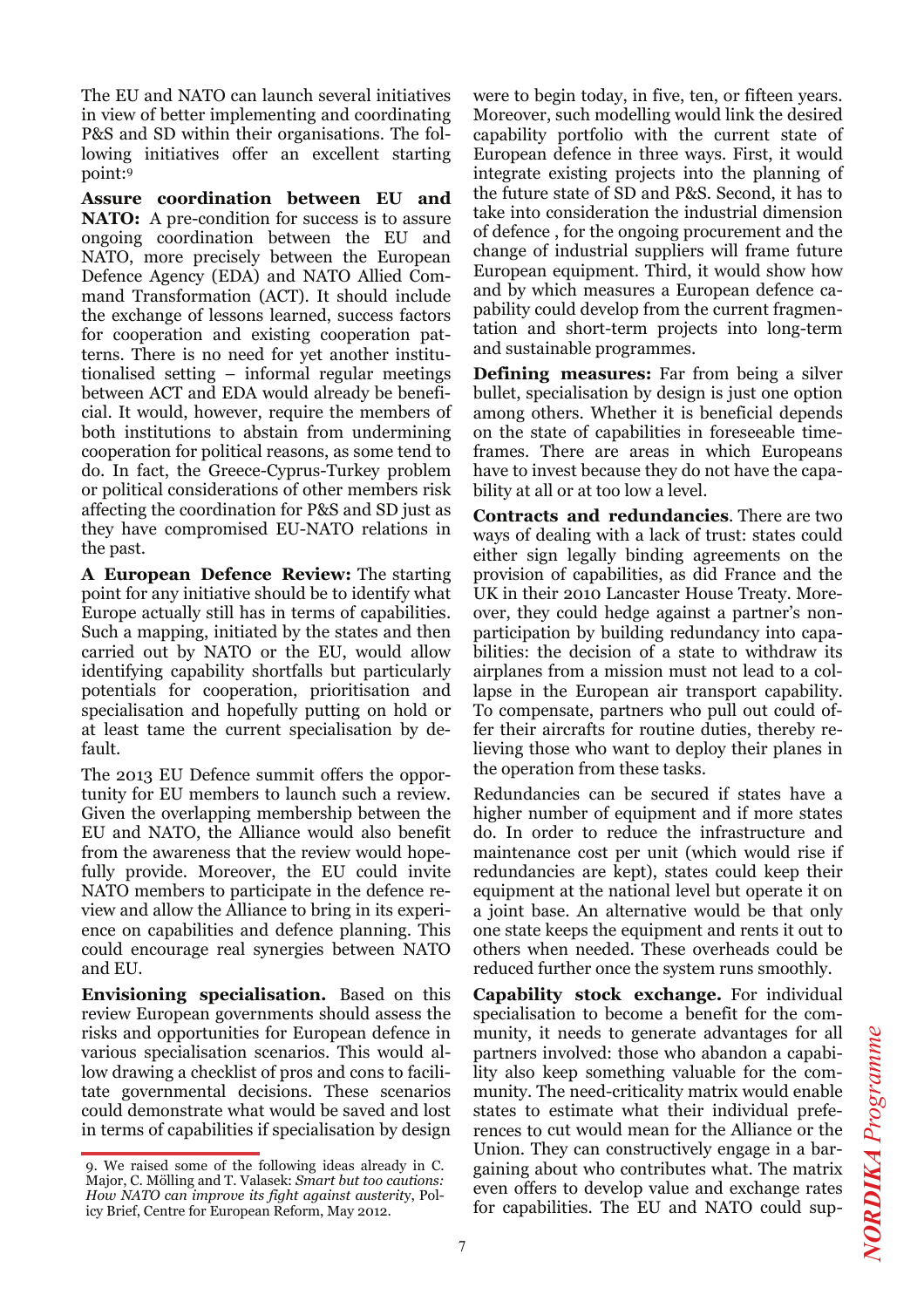The EU and NATO can launch several initiatives in view of better implementing and coordinating P&S and SD within their organisations. The following initiatives offer an excellent starting point:9

**Assure coordination between EU and NATO:** A pre-condition for success is to assure ongoing coordination between the EU and NATO, more precisely between the European Defence Agency (EDA) and NATO Allied Command Transformation (ACT). It should include the exchange of lessons learned, success factors for cooperation and existing cooperation patterns. There is no need for yet another institutionalised setting – informal regular meetings between ACT and EDA would already be beneficial. It would, however, require the members of both institutions to abstain from undermining cooperation for political reasons, as some tend to do. In fact, the Greece-Cyprus-Turkey problem or political considerations of other members risk affecting the coordination for P&S and SD just as they have compromised EU-NATO relations in the past.

**A European Defence Review:** The starting point for any initiative should be to identify what Europe actually still has in terms of capabilities. Such a mapping, initiated by the states and then carried out by NATO or the EU, would allow identifying capability shortfalls but particularly potentials for cooperation, prioritisation and specialisation and hopefully putting on hold or at least tame the current specialisation by default.

The 2013 EU Defence summit offers the opportunity for EU members to launch such a review. Given the overlapping membership between the EU and NATO, the Alliance would also benefit from the awareness that the review would hopefully provide. Moreover, the EU could invite NATO members to participate in the defence review and allow the Alliance to bring in its experience on capabilities and defence planning. This could encourage real synergies between NATO and EU.

**Envisioning specialisation.** Based on this review European governments should assess the risks and opportunities for European defence in various specialisation scenarios. This would allow drawing a checklist of pros and cons to facilitate governmental decisions. These scenarios could demonstrate what would be saved and lost in terms of capabilities if specialisation by design were to begin today, in five, ten, or fifteen years. Moreover, such modelling would link the desired capability portfolio with the current state of European defence in three ways. First, it would integrate existing projects into the planning of the future state of SD and P&S. Second, it has to take into consideration the industrial dimension of defence , for the ongoing procurement and the change of industrial suppliers will frame future European equipment. Third, it would show how and by which measures a European defence capability could develop from the current fragmentation and short-term projects into long-term and sustainable programmes.

**Defining measures:** Far from being a silver bullet, specialisation by design is just one option among others. Whether it is beneficial depends on the state of capabilities in foreseeable timeframes. There are areas in which Europeans have to invest because they do not have the capability at all or at too low a level.

**Contracts and redundancies**. There are two ways of dealing with a lack of trust: states could either sign legally binding agreements on the provision of capabilities, as did France and the UK in their 2010 Lancaster House Treaty. Moreover, they could hedge against a partner's nonparticipation by building redundancy into capabilities: the decision of a state to withdraw its airplanes from a mission must not lead to a collapse in the European air transport capability. To compensate, partners who pull out could offer their aircrafts for routine duties, thereby relieving those who want to deploy their planes in the operation from these tasks.

Redundancies can be secured if states have a higher number of equipment and if more states do. In order to reduce the infrastructure and maintenance cost per unit (which would rise if redundancies are kept), states could keep their equipment at the national level but operate it on a joint base. An alternative would be that only one state keeps the equipment and rents it out to others when needed. These overheads could be reduced further once the system runs smoothly.

**Capability stock exchange.** For individual specialisation to become a benefit for the community, it needs to generate advantages for all partners involved: those who abandon a capability also keep something valuable for the community. The need-criticality matrix would enable states to estimate what their individual preferences to cut would mean for the Alliance or the Union. They can constructively engage in a bargaining about who contributes what. The matrix even offers to develop value and exchange rates for capabilities. The EU and NATO could sup-

<sup>9.</sup> We raised some of the following ideas already in C. Major, C. Mölling and T. Valasek: *Smart but too cautions: How NATO can improve its fight against austerit*y, Policy Brief, Centre for European Reform, May 2012.